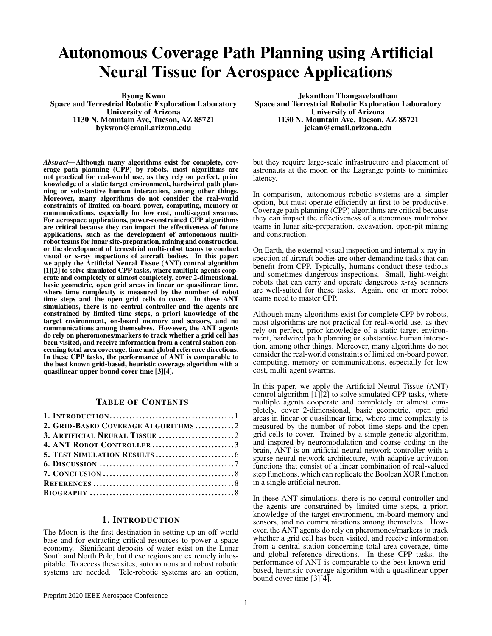# Autonomous Coverage Path Planning using Artificial Neural Tissue for Aerospace Applications

Byong Kwon Space and Terrestrial Robotic Exploration Laboratory University of Arizona 1130 N. Mountain Ave, Tucson, AZ 85721 bykwon@email.arizona.edu

*Abstract—*Although many algorithms exist for complete, coverage path planning (CPP) by robots, most algorithms are not practical for real-world use, as they rely on perfect, prior knowledge of a static target environment, hardwired path planning or substantive human interaction, among other things. Moreover, many algorithms do not consider the real-world constraints of limited on-board power, computing, memory or communications, especially for low cost, multi-agent swarms. For aerospace applications, power-constrained CPP algorithms are critical because they can impact the effectiveness of future applications, such as the development of autonomous multirobot teams for lunar site-preparation, mining and construction, or the development of terrestrial multi-robot teams to conduct visual or x-ray inspections of aircraft bodies. In this paper, we apply the Artificial Neural Tissue (ANT) control algorithm [1][2] to solve simulated CPP tasks, where multiple agents cooperate and completely or almost completely, cover 2-dimensional, basic geometric, open grid areas in linear or quasilinear time, where time complexity is measured by the number of robot time steps and the open grid cells to cover. In these ANT simulations, there is no central controller and the agents are constrained by limited time steps, a priori knowledge of the target environment, on-board memory and sensors, and no communications among themselves. However, the ANT agents do rely on pheromones/markers to track whether a grid cell has been visited, and receive information from a central station concerning total area coverage, time and global reference directions. In these CPP tasks, the performance of ANT is comparable to the best known grid-based, heuristic coverage algorithm with a quasilinear upper bound cover time [3][4].

## TABLE OF CONTENTS

| 2. GRID-BASED COVERAGE ALGORITHMS2 |  |
|------------------------------------|--|
| 3. ARTIFICIAL NEURAL TISSUE 2      |  |
| 4. ANT ROBOT CONTROLLER3           |  |
|                                    |  |
|                                    |  |
|                                    |  |
|                                    |  |
|                                    |  |

### 1. INTRODUCTION

The Moon is the first destination in setting up an off-world base and for extracting critical resources to power a space economy. Significant deposits of water exist on the Lunar South and North Pole, but these regions are extremely inhospitable. To access these sites, autonomous and robust robotic systems are needed. Tele-robotic systems are an option,

Jekanthan Thangavelautham Space and Terrestrial Robotic Exploration Laboratory University of Arizona 1130 N. Mountain Ave, Tucson, AZ 85721 jekan@email.arizona.edu

but they require large-scale infrastructure and placement of astronauts at the moon or the Lagrange points to minimize latency.

In comparison, autonomous robotic systems are a simpler option, but must operate efficiently at first to be productive. Coverage path planning (CPP) algorithms are critical because they can impact the effectiveness of autonomous multirobot teams in lunar site-preparation, excavation, open-pit mining and construction.

On Earth, the external visual inspection and internal x-ray inspection of aircraft bodies are other demanding tasks that can benefit from CPP. Typically, humans conduct these tedious and sometimes dangerous inspections. Small, light-weight robots that can carry and operate dangerous x-ray scanners are well-suited for these tasks. Again, one or more robot teams need to master CPP.

Although many algorithms exist for complete CPP by robots, most algorithms are not practical for real-world use, as they rely on perfect, prior knowledge of a static target environment, hardwired path planning or substantive human interaction, among other things. Moreover, many algorithms do not consider the real-world constraints of limited on-board power, computing, memory or communications, especially for low cost, multi-agent swarms.

In this paper, we apply the Artificial Neural Tissue (ANT) control algorithm  $\overline{11}$ [2] to solve simulated CPP tasks, where multiple agents cooperate and completely or almost completely, cover 2-dimensional, basic geometric, open grid areas in linear or quasilinear time, where time complexity is measured by the number of robot time steps and the open grid cells to cover. Trained by a simple genetic algorithm, and inspired by neuromodulation and coarse coding in the brain, ANT is an artificial neural network controller with a sparse neural network architecture, with adaptive activation functions that consist of a linear combination of real-valued step functions, which can replicate the Boolean XOR function in a single artificial neuron.

In these ANT simulations, there is no central controller and the agents are constrained by limited time steps, a priori knowledge of the target environment, on-board memory and sensors, and no communications among themselves. However, the ANT agents do rely on pheromones/markers to track whether a grid cell has been visited, and receive information from a central station concerning total area coverage, time and global reference directions. In these CPP tasks, the performance of ANT is comparable to the best known gridbased, heuristic coverage algorithm with a quasilinear upper bound cover time [3][4].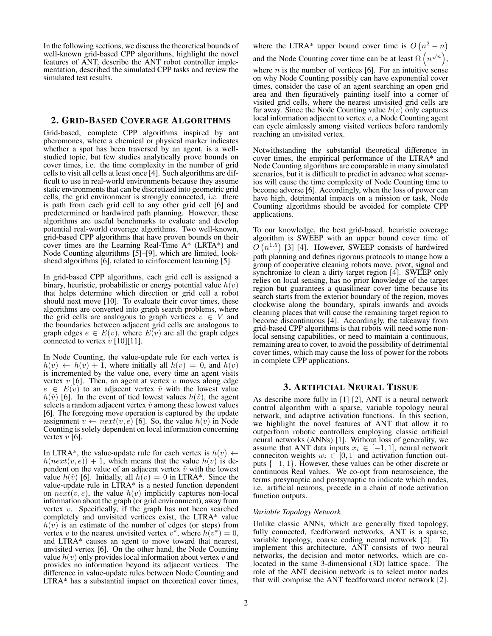In the following sections, we discuss the theoretical bounds of well-known grid-based CPP algorithms, highlight the novel features of ANT, describe the ANT robot controller implementation, described the simulated CPP tasks and review the simulated test results.

#### 2. GRID-BASED COVERAGE ALGORITHMS

Grid-based, complete CPP algorithms inspired by ant pheromones, where a chemical or physical marker indicates whether a spot has been traversed by an agent, is a wellstudied topic, but few studies analytically prove bounds on cover times, i.e. the time complexity in the number of grid cells to visit all cells at least once [4]. Such algorithms are difficult to use in real-world environments because they assume static environments that can be discretized into geometric grid cells, the grid environment is strongly connected, i.e. there is path from each grid cell to any other grid cell [6] and predetermined or hardwired path planning. However, these algorithms are useful benchmarks to evaluate and develop potential real-world coverage algorithms. Two well-known, grid-based CPP algorithms that have proven bounds on their cover times are the Learning Real-Time A\* (LRTA\*) and Node Counting algorithms [5]–[9], which are limited, lookahead algorithms [6], related to reinforcement learning [5].

In grid-based CPP algorithms, each grid cell is assigned a binary, heuristic, probabilistic or energy potential value  $h(v)$ that helps determine which direction or grid cell a robot should next move [10]. To evaluate their cover times, these algorithms are converted into graph search problems, where the grid cells are analogous to graph vertices  $v \in V$  and the boundaries between adjacent grid cells are analogous to graph edges  $e \in E(v)$ , where  $E(v)$  are all the graph edges connected to vertex  $v$  [10][11].

In Node Counting, the value-update rule for each vertex is  $h(v) \leftarrow h(v) + 1$ , where initially all  $h(v) = 0$ , and  $h(v)$ is incremented by the value one, every time an agent visits vertex  $v$  [6]. Then, an agent at vertex  $v$  moves along edge  $e \in E(v)$  to an adjacent vertex  $\hat{v}$  with the lowest value  $h(\hat{v})$  [6]. In the event of tied lowest values  $h(\hat{v})$ , the agent selects a random adjacent vertex  $\hat{v}$  among these lowest values [6]. The foregoing move operation is captured by the update assignment  $v \leftarrow next(v, e)$  [6]. So, the value  $h(v)$  in Node Counting is solely dependent on local information concerning vertex  $v$  [6].

In LTRA\*, the value-update rule for each vertex is  $h(v) \leftarrow$  $h(next(v, e)) + 1$ , which means that the value  $h(v)$  is dependent on the value of an adjacent vertex  $\hat{v}$  with the lowest value  $h(\hat{v})$  [6]. Initially, all  $h(v) = 0$  in LTRA\*. Since the value-update rule in LTRA\* is a nested function dependent on  $next(v, e)$ , the value  $h(v)$  implicitly captures non-local information about the graph (or grid environment), away from vertex  $v$ . Specifically, if the graph has not been searched completely and unvisited vertices exist, the LTRA\* value  $h(v)$  is an estimate of the number of edges (or steps) from vertex v to the nearest unvisited vertex  $v^*$ , where  $h(v^*) = 0$ , and LTRA\* causes an agent to move toward that nearest, unvisited vertex [6]. On the other hand, the Node Counting value  $h(v)$  only provides local information about vertex v and provides no information beyond its adjacent vertices. The difference in value-update rules between Node Counting and LTRA\* has a substantial impact on theoretical cover times, where the LTRA\* upper bound cover time is  $O(n^2 - n)$ and the Node Counting cover time can be at least  $\Omega(n^{\sqrt{n}})$ ,

where  $n$  is the number of vertices [6]. For an intuitive sense on why Node Counting possibly can have exponential cover times, consider the case of an agent searching an open grid area and then figuratively painting itself into a corner of visited grid cells, where the nearest unvisited grid cells are far away. Since the Node Counting value  $h(v)$  only captures local information adjacent to vertex  $v$ , a Node Counting agent can cycle aimlessly among visited vertices before randomly reaching an unvisited vertex.

Notwithstanding the substantial theoretical difference in cover times, the empirical performance of the LTRA\* and Node Counting algorithms are comparable in many simulated scenarios, but it is difficult to predict in advance what scenarios will cause the time complexity of Node Counting time to become adverse [6]. Accordingly, when the loss of power can have high, detrimental impacts on a mission or task, Node Counting algorithms should be avoided for complete CPP applications.

To our knowledge, the best grid-based, heuristic coverage algorithm is SWEEP with an upper bound cover time of  $O(n^{1.5})$  [3] [4]. However, SWEEP consists of hardwired path planning and defines rigorous protocols to mange how a group of cooperative cleaning robots move, pivot, signal and synchronize to clean a dirty target region [4]. SWEEP only relies on local sensing, has no prior knowledge of the target region but guarantees a quasilinear cover time because its search starts from the exterior boundary of the region, moves clockwise along the boundary, spirals inwards and avoids cleaning places that will cause the remaining target region to become discontinuous [4]. Accordingly, the takeaway from grid-based CPP algorithms is that robots will need some nonlocal sensing capabilities, or need to maintain a continuous, remaining area to cover, to avoid the possibility of detrimental cover times, which may cause the loss of power for the robots in complete CPP applications.

#### 3. ARTIFICIAL NEURAL TISSUE

As describe more fully in [1] [2], ANT is a neural network control algorithm with a sparse, variable topology neural network, and adaptive activation functions. In this section, we highlight the novel features of ANT that allow it to outperform robotic controllers employing classic artificial neural networks (ANNs) [1]. Without loss of generality, we assume that ANT data inputs  $x_i \in [-1, 1]$ , neural network conneciton weights  $w_i \in [0, 1]$  and activation function outputs  $\{-1, 1\}$ . However, these values can be other discrete or continuous Real values. We co-opt from neuroscience, the terms presynaptic and postsynaptic to indicate which nodes, i.e. artificial neurons, precede in a chain of node activation function outputs.

#### *Variable Topology Network*

Unlike classic ANNs, which are generally fixed topology, fully connected, feedforward networks, ANT is a sparse, variable topology, coarse coding neural network [2]. To implement this architecture, ANT consists of two neural networks, the decision and motor networks, which are colocated in the same 3-dimensional (3D) lattice space. The role of the ANT decision network is to select motor nodes that will comprise the ANT feedforward motor network [2].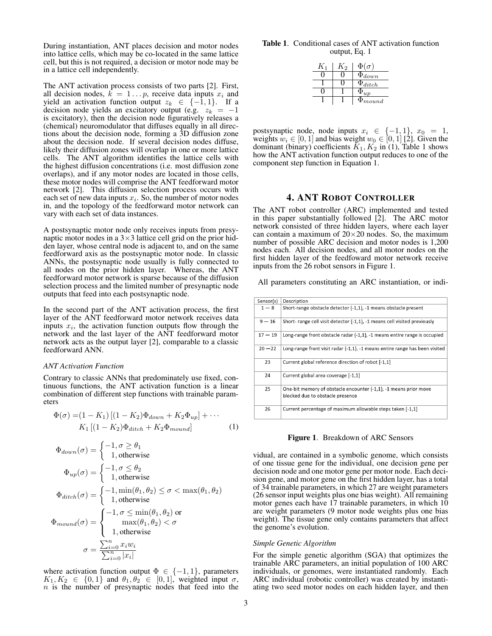During instantiation, ANT places decision and motor nodes into lattice cells, which may be co-located in the same lattice cell, but this is not required, a decision or motor node may be in a lattice cell independently.

The ANT activation process consists of two parts [2]. First, all decision nodes,  $\vec{k} = 1 \dots p$ , receive data inputs  $x_i$  and yield an activation function output  $z_k \in \{-1, 1\}$ . If a decision node yields an excitatory output (e.g.  $z_k = -1$ ) is excitatory), then the decision node figuratively releases a (chemical) neuromodulator that diffuses equally in all directions about the decision node, forming a 3D diffusion zone about the decision node. If several decision nodes diffuse, likely their diffusion zones will overlap in one or more lattice cells. The ANT algorithm identifies the lattice cells with the highest diffusion concentrations (i.e. most diffusion zone overlaps), and if any motor nodes are located in those cells, these motor nodes will comprise the ANT feedforward motor network [2]. This diffusion selection process occurs with each set of new data inputs  $x_i$ . So, the number of motor nodes in, and the topology of the feedforward motor network can vary with each set of data instances.

A postsynaptic motor node only receives inputs from presynaptic motor nodes in a  $3 \times 3$  lattice cell grid on the prior hidden layer, whose central node is adjacent to, and on the same feedforward axis as the postsynaptic motor node. In classic ANNs, the postsynaptic node usually is fully connected to all nodes on the prior hidden layer. Whereas, the ANT feedforward motor network is sparse because of the diffusion selection process and the limited number of presynaptic node outputs that feed into each postsynaptic node.

In the second part of the ANT activation process, the first layer of the ANT feedforward motor network receives data inputs  $x_i$ , the activation function outputs flow through the network and the last layer of the ANT feedforward motor network acts as the output layer [2], comparable to a classic feedforward ANN.

#### *ANT Activation Function*

Contrary to classic ANNs that predominately use fixed, continuous functions, the ANT activation function is a linear combination of different step functions with trainable parameters

$$
\Phi(\sigma) = (1 - K_1) [(1 - K_2) \Phi_{down} + K_2 \Phi_{up}] + \cdots K_1 [(1 - K_2) \Phi_{ditch} + K_2 \Phi_{mound}]
$$
 (1)

$$
\Phi_{down}(\sigma) = \begin{cases}\n-1, \sigma \ge \theta_1 \\
1, \text{otherwise}\n\end{cases}
$$
\n
$$
\Phi_{up}(\sigma) = \begin{cases}\n-1, \sigma \le \theta_2 \\
1, \text{otherwise}\n\end{cases}
$$
\n
$$
\Phi_{ditch}(\sigma) = \begin{cases}\n-1, \min(\theta_1, \theta_2) \le \sigma < \max(\theta_1, \theta_2) \\
1, \text{otherwise}\n\end{cases}
$$
\n
$$
\Phi_{mound}(\sigma) = \begin{cases}\n-1, \sigma \le \min(\theta_1, \theta_2) \text{ or } \\
1, \text{otherwise}\n\end{cases}
$$
\n
$$
\sigma = \frac{\sum_{i=0}^n x_i w_i}{\sum_{i=0}^n |x_i|}
$$

where activation function output  $\Phi \in \{-1,1\}$ , parameters  $K_1, K_2 \in \{0, 1\}$  and  $\theta_1, \theta_2 \in [0, 1]$ , weighted input  $\sigma$ ,  $n$  is the number of presynaptic nodes that feed into the

Table 1. Conditional cases of ANT activation function output, Eq. 1

| $K_1$ | $K_2$ | $\Phi(\sigma)$ |
|-------|-------|----------------|
|       |       | $\Phi_{down}$  |
|       |       | $\Phi_{ditch}$ |
|       |       | $\Psi_{up}$    |
|       |       | $\Phi_{mound}$ |

postsynaptic node, node inputs  $x_i \in \{-1,1\}$ ,  $x_0 = 1$ , weights  $w_i \in [0, 1]$  and bias weight  $w_0 \in [0, 1]$  [2]. Given the dominant (binary) coefficients  $\tilde{K}_1, \tilde{K_2}$  in (1), Table 1 shows how the ANT activation function output reduces to one of the component step function in Equation 1.

## 4. ANT ROBOT CONTROLLER

The ANT robot controller (ARC) implemented and tested in this paper substantially followed [2]. The ARC motor network consisted of three hidden layers, where each layer can contain a maximum of  $20\times20$  nodes. So, the maximum number of possible ARC decision and motor nodes is 1,200 nodes each. All decision nodes, and all motor nodes on the first hidden layer of the feedfoward motor network receive inputs from the 26 robot sensors in Figure 1.

All parameters constituting an ARC instantiation, or indi-

| Sensor(s) | Description                                                                                               |
|-----------|-----------------------------------------------------------------------------------------------------------|
| $1 - 8$   | Short-range obstacle detector {-1,1}, -1 means obstacle present                                           |
| $9 - 16$  | Short- range cell visit detector $\{-1,1\}$ , -1 means cell visited previously                            |
| $17 - 19$ | Long-range front obstacle radar $\{-1,1\}$ , -1 means entire range is occupied                            |
| $20 - 22$ | Long-range front visit radar $\{-1,1\}$ , $-1$ means entire range has been visited                        |
| 23        | Current global reference direction of robot [-1,1]                                                        |
| 24        | Current global area coverage [-1,1]                                                                       |
| 25        | One-bit memory of obstacle encounter $\{-1,1\}$ , -1 means prior move<br>blocked due to obstacle presence |
| 26        | Current percentage of maximum allowable steps taken [-1,1]                                                |

Figure 1. Breakdown of ARC Sensors

vidual, are contained in a symbolic genome, which consists of one tissue gene for the individual, one decision gene per decision node and one motor gene per motor node. Each decision gene, and motor gene on the first hidden layer, has a total of 34 trainable parameters, in which 27 are weight parameters (26 sensor input weights plus one bias weight). All remaining motor genes each have 17 trainable parameters, in which 10 are weight parameters (9 motor node weights plus one bias weight). The tissue gene only contains parameters that affect the genome's evolution.

#### *Simple Genetic Algorithm*

For the simple genetic algorithm (SGA) that optimizes the trainable ARC parameters, an initial population of 100 ARC individuals, or genomes, were instantiated randomly. Each ARC individual (robotic controller) was created by instantiating two seed motor nodes on each hidden layer, and then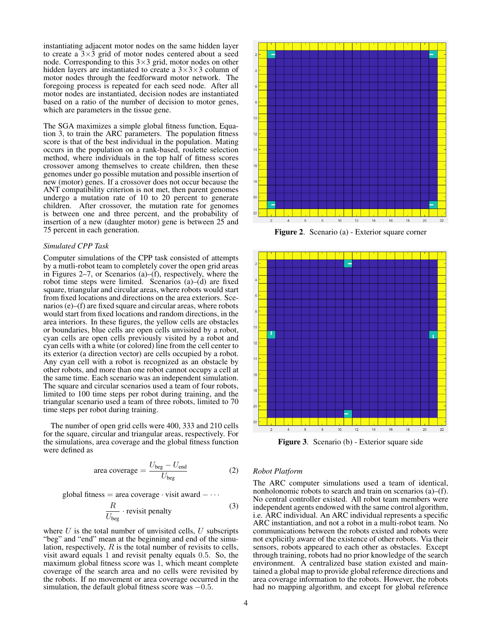instantiating adjacent motor nodes on the same hidden layer to create a  $3\times3$  grid of motor nodes centered about a seed node. Corresponding to this  $3 \times 3$  grid, motor nodes on other hidden layers are instantiated to create a  $3\times3\times3$  column of motor nodes through the feedforward motor network. The foregoing process is repeated for each seed node. After all motor nodes are instantiated, decision nodes are instantiated based on a ratio of the number of decision to motor genes, which are parameters in the tissue gene.

The SGA maximizes a simple global fitness function, Equation 3, to train the ARC parameters. The population fitness score is that of the best individual in the population. Mating occurs in the population on a rank-based, roulette selection method, where individuals in the top half of fitness scores crossover among themselves to create children, then these genomes under go possible mutation and possible insertion of new (motor) genes. If a crossover does not occur because the ANT compatibility criterion is not met, then parent genomes undergo a mutation rate of 10 to 20 percent to generate children. After crossover, the mutation rate for genomes is between one and three percent, and the probability of insertion of a new (daughter motor) gene is between 25 and 75 percent in each generation.

#### *Simulated CPP Task*

Computer simulations of the CPP task consisted of attempts by a mutli-robot team to completely cover the open grid areas in Figures 2–7, or Scenarios  $(a)$ – $(f)$ , respectively, where the robot time steps were limited. Scenarios (a)–(d) are fixed square, triangular and circular areas, where robots would start from fixed locations and directions on the area exteriors. Scenarios (e)–(f) are fixed square and circular areas, where robots would start from fixed locations and random directions, in the area interiors. In these figures, the yellow cells are obstacles or boundaries, blue cells are open cells unvisited by a robot, cyan cells are open cells previously visited by a robot and cyan cells with a white (or colored) line from the cell center to its exterior (a direction vector) are cells occupied by a robot. Any cyan cell with a robot is recognized as an obstacle by other robots, and more than one robot cannot occupy a cell at the same time. Each scenario was an independent simulation. The square and circular scenarios used a team of four robots, limited to 100 time steps per robot during training, and the triangular scenario used a team of three robots, limited to 70 time steps per robot during training.

The number of open grid cells were 400, 333 and 210 cells for the square, circular and triangular areas, respectively. For the simulations, area coverage and the global fitness function were defined as

$$
area coverage = \frac{U_{beg} - U_{end}}{U_{beg}}
$$
 (2)

global fitness = area coverage  $\cdot$  visit award  $-\cdots$ 

$$
\frac{R}{U_{\text{beg}}} \cdot \text{revisit penalty} \tag{3}
$$

where  $U$  is the total number of unvisited cells,  $U$  subscripts "beg" and "end" mean at the beginning and end of the simulation, respectively,  $R$  is the total number of revisits to cells, visit award equals 1 and revisit penalty equals 0.5. So, the maximum global fitness score was 1, which meant complete coverage of the search area and no cells were revisited by the robots. If no movement or area coverage occurred in the simulation, the default global fitness score was  $-0.5$ .



Figure 2. Scenario (a) - Exterior square corner



Figure 3. Scenario (b) - Exterior square side

#### *Robot Platform*

The ARC computer simulations used a team of identical, nonholonomic robots to search and train on scenarios (a)–(f). No central controller existed. All robot team members were independent agents endowed with the same control algorithm, i.e. ARC individual. An ARC individual represents a specific ARC instantiation, and not a robot in a multi-robot team. No communications between the robots existed and robots were not explicitly aware of the existence of other robots. Via their sensors, robots appeared to each other as obstacles. Except through training, robots had no prior knowledge of the search environment. A centralized base station existed and maintained a global map to provide global reference directions and area coverage information to the robots. However, the robots had no mapping algorithm, and except for global reference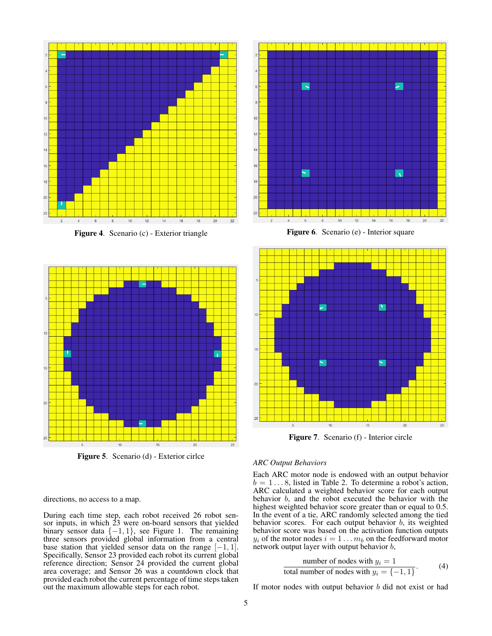

Figure 4. Scenario (c) - Exterior triangle



Figure 5. Scenario (d) - Exterior cirlce

directions, no access to a map.

During each time step, each robot received 26 robot sensor inputs, in which 23 were on-board sensors that yielded binary sensor data  $\{-1, 1\}$ , see Figure 1. The remaining three sensors provided global information from a central base station that yielded sensor data on the range  $[-1, 1]$ . Specifically, Sensor 23 provided each robot its current global reference direction; Sensor 24 provided the current global area coverage; and Sensor 26 was a countdown clock that provided each robot the current percentage of time steps taken out the maximum allowable steps for each robot.



Figure 6. Scenario (e) - Interior square



Figure 7. Scenario (f) - Interior circle

#### *ARC Output Behaviors*

Each ARC motor node is endowed with an output behavior  $b = 1 \dots 8$ , listed in Table 2. To determine a robot's action, ARC calculated a weighted behavior score for each output behavior b, and the robot executed the behavior with the highest weighted behavior score greater than or equal to 0.5. In the event of a tie, ARC randomly selected among the tied behavior scores. For each output behavior  $b$ , its weighted behavior score was based on the activation function outputs  $y_i$  of the motor nodes  $i = 1 \dots m_b$  on the feedforward motor network output layer with output behavior b,

number of nodes with 
$$
y_i = 1
$$
  
total number of nodes with  $y_i = \{-1, 1\}$ . (4)

If motor nodes with output behavior b did not exist or had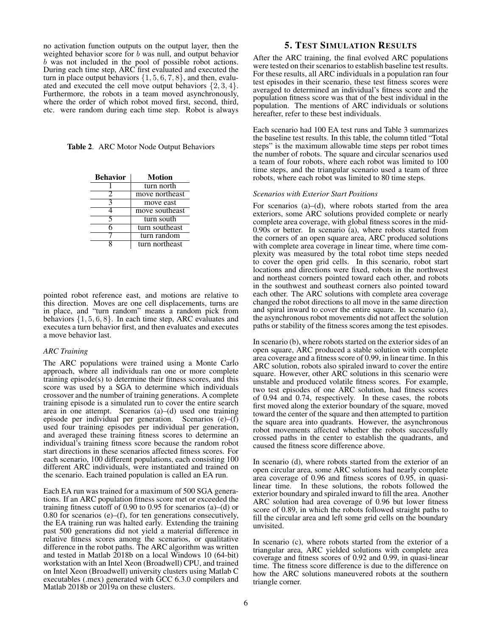no activation function outputs on the output layer, then the weighted behavior score for b was null, and output behavior b was not included in the pool of possible robot actions. During each time step, ARC first evaluated and executed the turn in place output behaviors  $\{1, 5, 6, 7, 8\}$ , and then, evaluated and executed the cell move output behaviors  $\{2, 3, 4\}$ . Furthermore, the robots in a team moved asynchronously, where the order of which robot moved first, second, third, etc. were random during each time step. Robot is always

Table 2. ARC Motor Node Output Behaviors

| <b>Behavior</b> | <b>Motion</b>  |
|-----------------|----------------|
|                 | turn north     |
| 2               | move northeast |
| 3               | move east      |
|                 | move southeast |
|                 | turn south     |
|                 | turn southeast |
|                 | turn random    |
|                 | turn northeast |

pointed robot reference east, and motions are relative to this direction. Moves are one cell displacements, turns are in place, and "turn random" means a random pick from behaviors  $\{1, 5, 6, 8\}$ . In each time step, ARC evaluates and executes a turn behavior first, and then evaluates and executes a move behavior last.

#### *ARC Training*

The ARC populations were trained using a Monte Carlo approach, where all individuals ran one or more complete training episode(s) to determine their fitness scores, and this score was used by a SGA to determine which individuals crossover and the number of training generations. A complete training episode is a simulated run to cover the entire search area in one attempt. Scenarios (a)–(d) used one training episode per individual per generation. Scenarios (e)–(f) used four training episodes per individual per generation, and averaged these training fitness scores to determine an individual's training fitness score because the random robot start directions in these scenarios affected fitness scores. For each scenario, 100 different populations, each consisting 100 different ARC individuals, were instantiated and trained on the scenario. Each trained population is called an EA run.

Each EA run was trained for a maximum of 500 SGA generations. If an ARC population fitness score met or exceeded the training fitness cutoff of 0.90 to 0.95 for scenarios (a)–(d) or 0.80 for scenarios (e)–(f), for ten generations consecutively, the EA training run was halted early. Extending the training past 500 generations did not yield a material difference in relative fitness scores among the scenarios, or qualitative difference in the robot paths. The ARC algorithm was written and tested in Matlab 2018b on a local Windows 10 (64-bit) workstation with an Intel Xeon (Broadwell) CPU, and trained on Intel Xeon (Broadwell) university clusters using Matlab C executables (.mex) generated with GCC 6.3.0 compilers and Matlab 2018b or 2019a on these clusters.

# 5. TEST SIMULATION RESULTS

After the ARC training, the final evolved ARC populations were tested on their scenarios to establish baseline test results. For these results, all ARC individuals in a population ran four test episodes in their scenario, these test fitness scores were averaged to determined an individual's fitness score and the population fitness score was that of the best individual in the population. The mentions of ARC individuals or solutions hereafter, refer to these best individuals.

Each scenario had 100 EA test runs and Table 3 summarizes the baseline test results. In this table, the column titled "Total steps" is the maximum allowable time steps per robot times the number of robots. The square and circular scenarios used a team of four robots, where each robot was limited to 100 time steps, and the triangular scenario used a team of three robots, where each robot was limited to 80 time steps.

#### *Scenarios with Exterior Start Positions*

For scenarios  $(a)$ – $(d)$ , where robots started from the area exteriors, some ARC solutions provided complete or nearly complete area coverage, with global fitness scores in the mid-0.90s or better. In scenario (a), where robots started from the corners of an open square area, ARC produced solutions with complete area coverage in linear time, where time complexity was measured by the total robot time steps needed to cover the open grid cells. In this scenario, robot start locations and directions were fixed, robots in the northwest and northeast corners pointed toward each other, and robots in the southwest and southeast corners also pointed toward each other. The ARC solutions with complete area coverage changed the robot directions to all move in the same direction and spiral inward to cover the entire square. In scenario (a), the asynchronous robot movements did not affect the solution paths or stability of the fitness scores among the test episodes.

In scenario (b), where robots started on the exterior sides of an open square, ARC produced a stable solution with complete area coverage and a fitness score of 0.99, in linear time. In this ARC solution, robots also spiraled inward to cover the entire square. However, other ARC solutions in this scenario were unstable and produced volatile fitness scores. For example, two test episodes of one ARC solution, had fitness scores of 0.94 and 0.74, respectively. In these cases, the robots first moved along the exterior boundary of the square, moved toward the center of the square and then attempted to partition the square area into quadrants. However, the asynchronous robot movements affected whether the robots successfully crossed paths in the center to establish the quadrants, and caused the fitness score difference above.

In scenario (d), where robots started from the exterior of an open circular area, some ARC solutions had nearly complete area coverage of 0.96 and fitness scores of 0.95, in quasilinear time. In these solutions, the robots followed the exterior boundary and spiraled inward to fill the area. Another ARC solution had area coverage of 0.96 but lower fitness score of 0.89, in which the robots followed straight paths to fill the circular area and left some grid cells on the boundary unvisited.

In scenario (c), where robots started from the exterior of a triangular area, ARC yielded solutions with complete area coverage and fitness scores of 0.92 and 0.99, in quasi-linear time. The fitness score difference is due to the difference on how the ARC solutions maneuvered robots at the southern triangle corner.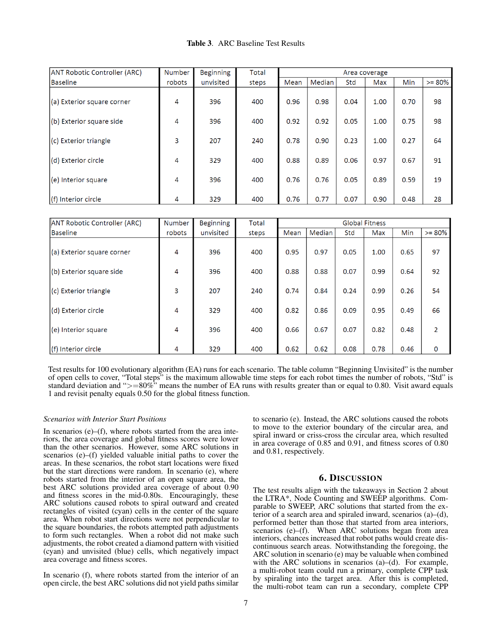| <b>Table 3.</b> ARC Baseline Test Results |
|-------------------------------------------|
|-------------------------------------------|

| <b>ANT Robotic Controller (ARC)</b> | Number | <b>Beginning</b> | Total | Area coverage |        |      |      |      |          |
|-------------------------------------|--------|------------------|-------|---------------|--------|------|------|------|----------|
| <b>Baseline</b>                     | robots | unvisited        | steps | Mean          | Median | Std  | Max  | Min  | $>= 80%$ |
| (a) Exterior square corner          | 4      | 396              | 400   | 0.96          | 0.98   | 0.04 | 1.00 | 0.70 | 98       |
| (b) Exterior square side            | 4      | 396              | 400   | 0.92          | 0.92   | 0.05 | 1.00 | 0.75 | 98       |
| (c) Exterior triangle               | 3      | 207              | 240   | 0.78          | 0.90   | 0.23 | 1.00 | 0.27 | 64       |
| (d) Exterior circle                 | 4      | 329              | 400   | 0.88          | 0.89   | 0.06 | 0.97 | 0.67 | 91       |
| (e) Interior square                 | 4      | 396              | 400   | 0.76          | 0.76   | 0.05 | 0.89 | 0.59 | 19       |
| (f) Interior circle                 | 4      | 329              | 400   | 0.76          | 0.77   | 0.07 | 0.90 | 0.48 | 28       |

| ANT Robotic Controller (ARC) | Number | <b>Beginning</b> | <b>Total</b> | <b>Global Fitness</b> |        |      |      |            |             |
|------------------------------|--------|------------------|--------------|-----------------------|--------|------|------|------------|-------------|
| Baseline                     | robots | unvisited        | steps        | Mean                  | Median | Std  | Max  | <b>Min</b> | $>= 80%$    |
| (a) Exterior square corner   | 4      | 396              | 400          | 0.95                  | 0.97   | 0.05 | 1.00 | 0.65       | 97          |
| (b) Exterior square side     | 4      | 396              | 400          | 0.88                  | 0.88   | 0.07 | 0.99 | 0.64       | 92          |
| (c) Exterior triangle        | 3      | 207              | 240          | 0.74                  | 0.84   | 0.24 | 0.99 | 0.26       | 54          |
| (d) Exterior circle          | 4      | 329              | 400          | 0.82                  | 0.86   | 0.09 | 0.95 | 0.49       | 66          |
| (e) Interior square          | 4      | 396              | 400          | 0.66                  | 0.67   | 0.07 | 0.82 | 0.48       | 2           |
| $(f)$ Interior circle        | 4      | 329              | 400          | 0.62                  | 0.62   | 0.08 | 0.78 | 0.46       | $\mathbf 0$ |

Test results for 100 evolutionary algorithm (EA) runs for each scenario. The table column "Beginning Unvisited" is the number of open cells to cover, "Total steps" is the maximum allowable time steps for each robot times the number of robots, "Std" is standard deviation and " $>=80\%$ " means the number of EA runs with results greater than or equal to 0.80. Visit award equals 1 and revisit penalty equals 0.50 for the global fitness function.

#### *Scenarios with Interior Start Positions*

In scenarios  $(e)$ – $(f)$ , where robots started from the area interiors, the area coverage and global fitness scores were lower than the other scenarios. However, some ARC solutions in scenarios (e)–(f) yielded valuable initial paths to cover the areas. In these scenarios, the robot start locations were fixed but the start directions were random. In scenario (e), where robots started from the interior of an open square area, the best ARC solutions provided area coverage of about 0.90 and fitness scores in the mid-0.80s. Encouragingly, these ARC solutions caused robots to spiral outward and created rectangles of visited (cyan) cells in the center of the square area. When robot start directions were not perpendicular to the square boundaries, the robots attempted path adjustments to form such rectangles. When a robot did not make such adjustments, the robot created a diamond pattern with visitied (cyan) and unvisited (blue) cells, which negatively impact area coverage and fitness scores.

In scenario (f), where robots started from the interior of an open circle, the best ARC solutions did not yield paths similar to scenario (e). Instead, the ARC solutions caused the robots to move to the exterior boundary of the circular area, and spiral inward or criss-cross the circular area, which resulted in area coverage of 0.85 and 0.91, and fitness scores of 0.80 and 0.81, respectively.

## 6. DISCUSSION

The test results align with the takeaways in Section 2 about the LTRA\*, Node Counting and SWEEP algorithms. Comparable to SWEEP, ARC solutions that started from the exterior of a search area and spiraled inward, scenarios (a)–(d), performed better than those that started from area interiors, scenarios (e)–(f). When ARC solutions began from area interiors, chances increased that robot paths would create discontinuous search areas. Notwithstanding the foregoing, the ARC solution in scenario (e) may be valuable when combined with the ARC solutions in scenarios (a)–(d). For example, a multi-robot team could run a primary, complete CPP task by spiraling into the target area. After this is completed, the multi-robot team can run a secondary, complete CPP